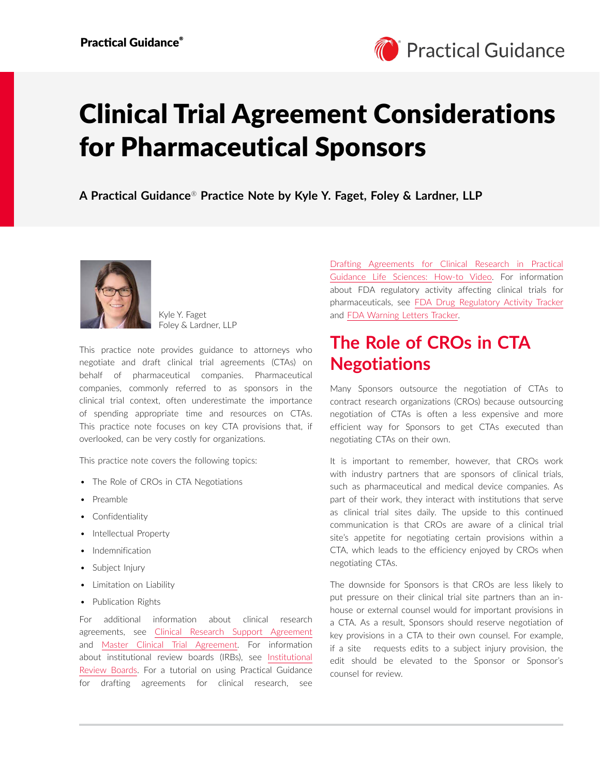# Clinical Trial Agreement Considerations for Pharmaceutical Sponsors

**A Practical Guidance**® **Practice Note by Kyle Y. Faget, Foley & Lardner, LLP**



Kyle Y. Faget Foley & Lardner, LLP

This practice note provides guidance to attorneys who negotiate and draft clinical trial agreements (CTAs) on behalf of pharmaceutical companies. Pharmaceutical companies, commonly referred to as sponsors in the clinical trial context, often underestimate the importance of spending appropriate time and resources on CTAs. This practice note focuses on key CTA provisions that, if overlooked, can be very costly for organizations.

This practice note covers the following topics:

- The Role of CROs in CTA Negotiations
- Preamble
- Confidentiality
- Intellectual Property
- Indemnification
- Subject Injury
- Limitation on Liability
- Publication Rights

For additional information about clinical research agreements, see [Clinical Research Support Agreement](https://advance.lexis.com/open/document/lpadocument/?pdmfid=1000522&pddocfullpath=%2Fshared%2Fdocument%2Fforms%2Furn%3AcontentItem%3A5WKP-YF51-FGRY-B33X-00000-00&pdcontentcomponentid=500752&pdteaserkey=sr0&pditab=allpods&ecomp=ztrg&earg=sr0) and [Master Clinical Trial Agreement](https://advance.lexis.com/open/document/lpadocument/?pdmfid=1000522&pddocfullpath=%2Fshared%2Fdocument%2Fforms%2Furn%3AcontentItem%3A5WKP-YF51-FGRY-B33Y-00000-00&pdcontentcomponentid=500752&pdteaserkey=sr0&pditab=allpods&ecomp=ztrg&earg=sr0). For information about institutional review boards (IRBs), see [Institutional](https://advance.lexis.com/open/document/lpadocument/?pdmfid=1000522&pddocfullpath=%2Fshared%2Fdocument%2Fanalytical-materials%2Furn%3AcontentItem%3A5WG3-3P81-DY33-B2B7-00000-00&pdcontentcomponentid=500749&pdteaserkey=sr0&pditab=allpods&ecomp=ztrg&earg=sr0)  [Review Boards.](https://advance.lexis.com/open/document/lpadocument/?pdmfid=1000522&pddocfullpath=%2Fshared%2Fdocument%2Fanalytical-materials%2Furn%3AcontentItem%3A5WG3-3P81-DY33-B2B7-00000-00&pdcontentcomponentid=500749&pdteaserkey=sr0&pditab=allpods&ecomp=ztrg&earg=sr0) For a tutorial on using Practical Guidance for drafting agreements for clinical research, see [Drafting Agreements for Clinical Research in Practical](https://advance.lexis.com/open/document/lpadocument/?pdmfid=1000522&pddocfullpath=%2Fshared%2Fdocument%2Fanalytical-materials%2Furn%3AcontentItem%3A5YWP-V4C1-JXNB-63WV-00000-00&pdcontentcomponentid=500749&pdteaserkey=sr0&pditab=allpods&ecomp=ztrg&earg=sr0)  [Guidance Life Sciences: How-to Video](https://advance.lexis.com/open/document/lpadocument/?pdmfid=1000522&pddocfullpath=%2Fshared%2Fdocument%2Fanalytical-materials%2Furn%3AcontentItem%3A5YWP-V4C1-JXNB-63WV-00000-00&pdcontentcomponentid=500749&pdteaserkey=sr0&pditab=allpods&ecomp=ztrg&earg=sr0). For information about FDA regulatory activity affecting clinical trials for pharmaceuticals, see [FDA Drug Regulatory Activity Tracker](https://advance.lexis.com/open/document/lpadocument/?pdmfid=1000522&pddocfullpath=%2Fshared%2Fdocument%2Fanalytical-materials%2Furn%3AcontentItem%3A5WK3-9Y11-F8D9-M2K8-00000-00&pdcontentcomponentid=500749&pdteaserkey=sr0&pditab=allpods&ecomp=ztrg&earg=sr0) and [FDA Warning Letters Tracker](https://advance.lexis.com/open/document/lpadocument/?pdmfid=1000522&pddocfullpath=%2Fshared%2Fdocument%2Fanalytical-materials%2Furn%3AcontentItem%3A5WKP-YCH1-F60C-X41V-00000-00&pdcontentcomponentid=500749&pdteaserkey=sr0&pditab=allpods&ecomp=ztrg&earg=sr0).

# **The Role of CROs in CTA Negotiations**

Many Sponsors outsource the negotiation of CTAs to contract research organizations (CROs) because outsourcing negotiation of CTAs is often a less expensive and more efficient way for Sponsors to get CTAs executed than negotiating CTAs on their own.

It is important to remember, however, that CROs work with industry partners that are sponsors of clinical trials, such as pharmaceutical and medical device companies. As part of their work, they interact with institutions that serve as clinical trial sites daily. The upside to this continued communication is that CROs are aware of a clinical trial site's appetite for negotiating certain provisions within a CTA, which leads to the efficiency enjoyed by CROs when negotiating CTAs.

The downside for Sponsors is that CROs are less likely to put pressure on their clinical trial site partners than an inhouse or external counsel would for important provisions in a CTA. As a result, Sponsors should reserve negotiation of key provisions in a CTA to their own counsel. For example, if a site requests edits to a subject injury provision, the edit should be elevated to the Sponsor or Sponsor's counsel for review.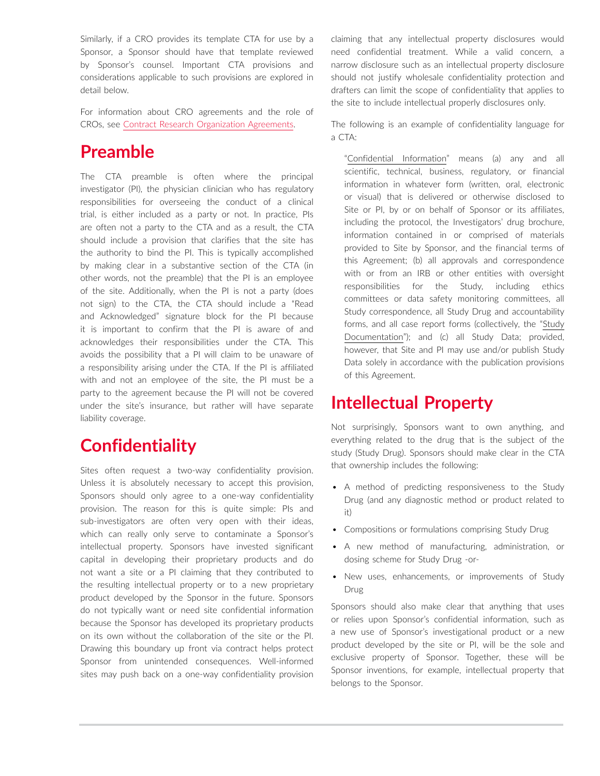Similarly, if a CRO provides its template CTA for use by a Sponsor, a Sponsor should have that template reviewed by Sponsor's counsel. Important CTA provisions and considerations applicable to such provisions are explored in detail below.

For information about CRO agreements and the role of CROs, see [Contract Research Organization Agreements.](https://advance.lexis.com/open/document/lpadocument/?pdmfid=1000522&pddocfullpath=%2Fshared%2Fdocument%2Fanalytical-materials%2Furn%3AcontentItem%3A5WK3-9Y11-F8D9-M2K7-00000-00&pdcontentcomponentid=500749&pdteaserkey=sr0&pditab=allpods&ecomp=ztrg&earg=sr0)

## **Preamble**

The CTA preamble is often where the principal investigator (PI), the physician clinician who has regulatory responsibilities for overseeing the conduct of a clinical trial, is either included as a party or not. In practice, PIs are often not a party to the CTA and as a result, the CTA should include a provision that clarifies that the site has the authority to bind the PI. This is typically accomplished by making clear in a substantive section of the CTA (in other words, not the preamble) that the PI is an employee of the site. Additionally, when the PI is not a party (does not sign) to the CTA, the CTA should include a "Read and Acknowledged" signature block for the PI because it is important to confirm that the PI is aware of and acknowledges their responsibilities under the CTA. This avoids the possibility that a PI will claim to be unaware of a responsibility arising under the CTA. If the PI is affiliated with and not an employee of the site, the PI must be a party to the agreement because the PI will not be covered under the site's insurance, but rather will have separate liability coverage.

## **Confidentiality**

Sites often request a two-way confidentiality provision. Unless it is absolutely necessary to accept this provision, Sponsors should only agree to a one-way confidentiality provision. The reason for this is quite simple: PIs and sub-investigators are often very open with their ideas, which can really only serve to contaminate a Sponsor's intellectual property. Sponsors have invested significant capital in developing their proprietary products and do not want a site or a PI claiming that they contributed to the resulting intellectual property or to a new proprietary product developed by the Sponsor in the future. Sponsors do not typically want or need site confidential information because the Sponsor has developed its proprietary products on its own without the collaboration of the site or the PI. Drawing this boundary up front via contract helps protect Sponsor from unintended consequences. Well-informed sites may push back on a one-way confidentiality provision claiming that any intellectual property disclosures would need confidential treatment. While a valid concern, a narrow disclosure such as an intellectual property disclosure should not justify wholesale confidentiality protection and drafters can limit the scope of confidentiality that applies to the site to include intellectual properly disclosures only.

The following is an example of confidentiality language for a CTA:

"Confidential Information" means (a) any and all scientific, technical, business, regulatory, or financial information in whatever form (written, oral, electronic or visual) that is delivered or otherwise disclosed to Site or PI, by or on behalf of Sponsor or its affiliates, including the protocol, the Investigators' drug brochure, information contained in or comprised of materials provided to Site by Sponsor, and the financial terms of this Agreement; (b) all approvals and correspondence with or from an IRB or other entities with oversight responsibilities for the Study, including ethics committees or data safety monitoring committees, all Study correspondence, all Study Drug and accountability forms, and all case report forms (collectively, the "Study Documentation"); and (c) all Study Data; provided, however, that Site and PI may use and/or publish Study Data solely in accordance with the publication provisions of this Agreement.

## **Intellectual Property**

Not surprisingly, Sponsors want to own anything, and everything related to the drug that is the subject of the study (Study Drug). Sponsors should make clear in the CTA that ownership includes the following:

- A method of predicting responsiveness to the Study Drug (and any diagnostic method or product related to it)
- Compositions or formulations comprising Study Drug
- A new method of manufacturing, administration, or dosing scheme for Study Drug -or-
- New uses, enhancements, or improvements of Study Drug

Sponsors should also make clear that anything that uses or relies upon Sponsor's confidential information, such as a new use of Sponsor's investigational product or a new product developed by the site or PI, will be the sole and exclusive property of Sponsor. Together, these will be Sponsor inventions, for example, intellectual property that belongs to the Sponsor.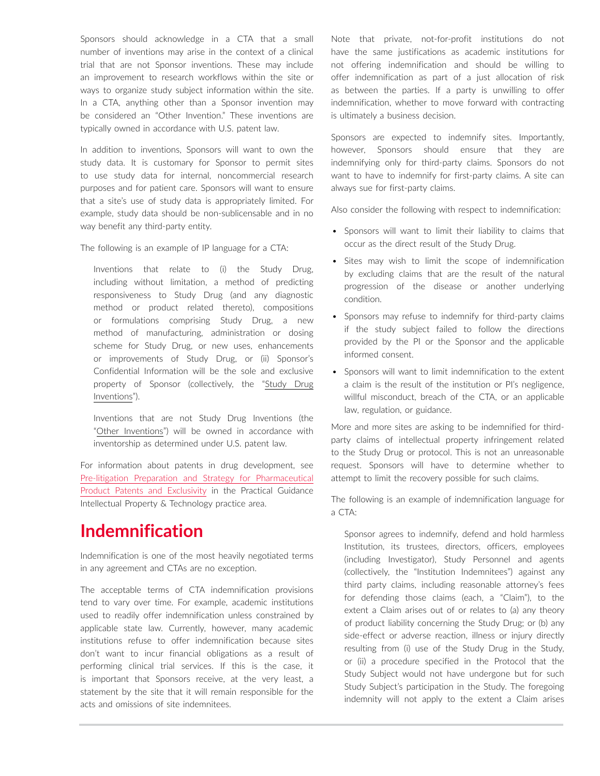Sponsors should acknowledge in a CTA that a small number of inventions may arise in the context of a clinical trial that are not Sponsor inventions. These may include an improvement to research workflows within the site or ways to organize study subject information within the site. In a CTA, anything other than a Sponsor invention may be considered an "Other Invention." These inventions are typically owned in accordance with U.S. patent law.

In addition to inventions, Sponsors will want to own the study data. It is customary for Sponsor to permit sites to use study data for internal, noncommercial research purposes and for patient care. Sponsors will want to ensure that a site's use of study data is appropriately limited. For example, study data should be non-sublicensable and in no way benefit any third-party entity.

The following is an example of IP language for a CTA:

Inventions that relate to (i) the Study Drug, including without limitation, a method of predicting responsiveness to Study Drug (and any diagnostic method or product related thereto), compositions or formulations comprising Study Drug, a new method of manufacturing, administration or dosing scheme for Study Drug, or new uses, enhancements or improvements of Study Drug, or (ii) Sponsor's Confidential Information will be the sole and exclusive property of Sponsor (collectively, the "Study Drug Inventions").

Inventions that are not Study Drug Inventions (the "Other Inventions") will be owned in accordance with inventorship as determined under U.S. patent law.

For information about patents in drug development, see [Pre-litigation Preparation and Strategy for Pharmaceutical](https://advance.lexis.com/open/document/lpadocument/?pdmfid=1000522&pddocfullpath=%2Fshared%2Fdocument%2Fanalytical-materials%2Furn%3AcontentItem%3A5T0K-NF71-JJ6S-64GM-00000-00&pdcontentcomponentid=500749&pdteaserkey=sr0&pditab=allpods&ecomp=ztrg&earg=sr0)  [Product Patents and Exclusivity](https://advance.lexis.com/open/document/lpadocument/?pdmfid=1000522&pddocfullpath=%2Fshared%2Fdocument%2Fanalytical-materials%2Furn%3AcontentItem%3A5T0K-NF71-JJ6S-64GM-00000-00&pdcontentcomponentid=500749&pdteaserkey=sr0&pditab=allpods&ecomp=ztrg&earg=sr0) in the Practical Guidance Intellectual Property & Technology practice area.

# **Indemnification**

Indemnification is one of the most heavily negotiated terms in any agreement and CTAs are no exception.

The acceptable terms of CTA indemnification provisions tend to vary over time. For example, academic institutions used to readily offer indemnification unless constrained by applicable state law. Currently, however, many academic institutions refuse to offer indemnification because sites don't want to incur financial obligations as a result of performing clinical trial services. If this is the case, it is important that Sponsors receive, at the very least, a statement by the site that it will remain responsible for the acts and omissions of site indemnitees.

Note that private, not-for-profit institutions do not have the same justifications as academic institutions for not offering indemnification and should be willing to offer indemnification as part of a just allocation of risk as between the parties. If a party is unwilling to offer indemnification, whether to move forward with contracting is ultimately a business decision.

Sponsors are expected to indemnify sites. Importantly, however, Sponsors should ensure that they are indemnifying only for third-party claims. Sponsors do not want to have to indemnify for first-party claims. A site can always sue for first-party claims.

Also consider the following with respect to indemnification:

- Sponsors will want to limit their liability to claims that occur as the direct result of the Study Drug.
- Sites may wish to limit the scope of indemnification by excluding claims that are the result of the natural progression of the disease or another underlying condition.
- Sponsors may refuse to indemnify for third-party claims if the study subject failed to follow the directions provided by the PI or the Sponsor and the applicable informed consent.
- Sponsors will want to limit indemnification to the extent a claim is the result of the institution or PI's negligence, willful misconduct, breach of the CTA, or an applicable law, regulation, or guidance.

More and more sites are asking to be indemnified for thirdparty claims of intellectual property infringement related to the Study Drug or protocol. This is not an unreasonable request. Sponsors will have to determine whether to attempt to limit the recovery possible for such claims.

The following is an example of indemnification language for a CTA:

Sponsor agrees to indemnify, defend and hold harmless Institution, its trustees, directors, officers, employees (including Investigator), Study Personnel and agents (collectively, the "Institution Indemnitees") against any third party claims, including reasonable attorney's fees for defending those claims (each, a "Claim"), to the extent a Claim arises out of or relates to (a) any theory of product liability concerning the Study Drug; or (b) any side-effect or adverse reaction, illness or injury directly resulting from (i) use of the Study Drug in the Study, or (ii) a procedure specified in the Protocol that the Study Subject would not have undergone but for such Study Subject's participation in the Study. The foregoing indemnity will not apply to the extent a Claim arises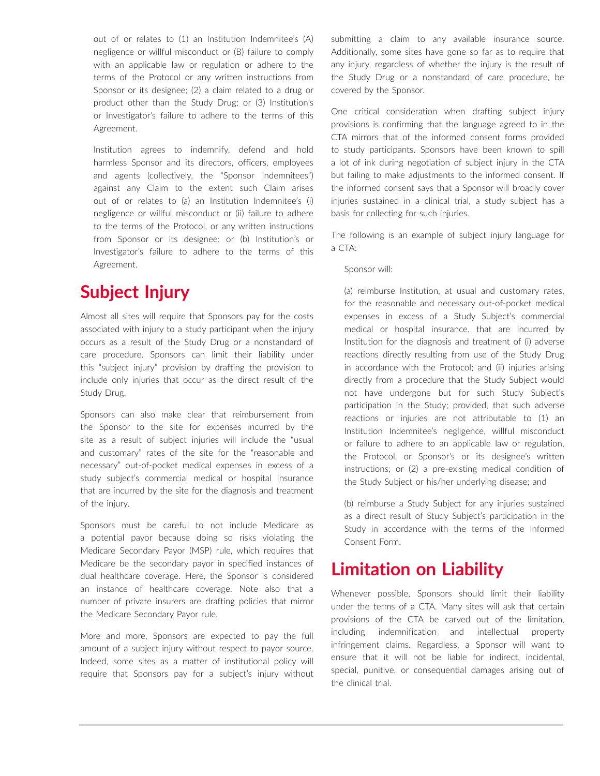out of or relates to (1) an Institution Indemnitee's (A) negligence or willful misconduct or (B) failure to comply with an applicable law or regulation or adhere to the terms of the Protocol or any written instructions from Sponsor or its designee; (2) a claim related to a drug or product other than the Study Drug; or (3) Institution's or Investigator's failure to adhere to the terms of this Agreement.

Institution agrees to indemnify, defend and hold harmless Sponsor and its directors, officers, employees and agents (collectively, the "Sponsor Indemnitees") against any Claim to the extent such Claim arises out of or relates to (a) an Institution Indemnitee's (i) negligence or willful misconduct or (ii) failure to adhere to the terms of the Protocol, or any written instructions from Sponsor or its designee; or (b) Institution's or Investigator's failure to adhere to the terms of this Agreement.

# **Subject Injury**

Almost all sites will require that Sponsors pay for the costs associated with injury to a study participant when the injury occurs as a result of the Study Drug or a nonstandard of care procedure. Sponsors can limit their liability under this "subject injury" provision by drafting the provision to include only injuries that occur as the direct result of the Study Drug.

Sponsors can also make clear that reimbursement from the Sponsor to the site for expenses incurred by the site as a result of subject injuries will include the "usual and customary" rates of the site for the "reasonable and necessary" out-of-pocket medical expenses in excess of a study subject's commercial medical or hospital insurance that are incurred by the site for the diagnosis and treatment of the injury.

Sponsors must be careful to not include Medicare as a potential payor because doing so risks violating the Medicare Secondary Payor (MSP) rule, which requires that Medicare be the secondary payor in specified instances of dual healthcare coverage. Here, the Sponsor is considered an instance of healthcare coverage. Note also that a number of private insurers are drafting policies that mirror the Medicare Secondary Payor rule.

More and more, Sponsors are expected to pay the full amount of a subject injury without respect to payor source. Indeed, some sites as a matter of institutional policy will require that Sponsors pay for a subject's injury without submitting a claim to any available insurance source. Additionally, some sites have gone so far as to require that any injury, regardless of whether the injury is the result of the Study Drug or a nonstandard of care procedure, be covered by the Sponsor.

One critical consideration when drafting subject injury provisions is confirming that the language agreed to in the CTA mirrors that of the informed consent forms provided to study participants. Sponsors have been known to spill a lot of ink during negotiation of subject injury in the CTA but failing to make adjustments to the informed consent. If the informed consent says that a Sponsor will broadly cover injuries sustained in a clinical trial, a study subject has a basis for collecting for such injuries.

The following is an example of subject injury language for a CTA:

#### Sponsor will:

(a) reimburse Institution, at usual and customary rates, for the reasonable and necessary out-of-pocket medical expenses in excess of a Study Subject's commercial medical or hospital insurance, that are incurred by Institution for the diagnosis and treatment of (i) adverse reactions directly resulting from use of the Study Drug in accordance with the Protocol; and (ii) injuries arising directly from a procedure that the Study Subject would not have undergone but for such Study Subject's participation in the Study; provided, that such adverse reactions or injuries are not attributable to (1) an Institution Indemnitee's negligence, willful misconduct or failure to adhere to an applicable law or regulation, the Protocol, or Sponsor's or its designee's written instructions; or (2) a pre-existing medical condition of the Study Subject or his/her underlying disease; and

(b) reimburse a Study Subject for any injuries sustained as a direct result of Study Subject's participation in the Study in accordance with the terms of the Informed Consent Form.

## **Limitation on Liability**

Whenever possible, Sponsors should limit their liability under the terms of a CTA. Many sites will ask that certain provisions of the CTA be carved out of the limitation, including indemnification and intellectual property infringement claims. Regardless, a Sponsor will want to ensure that it will not be liable for indirect, incidental, special, punitive, or consequential damages arising out of the clinical trial.